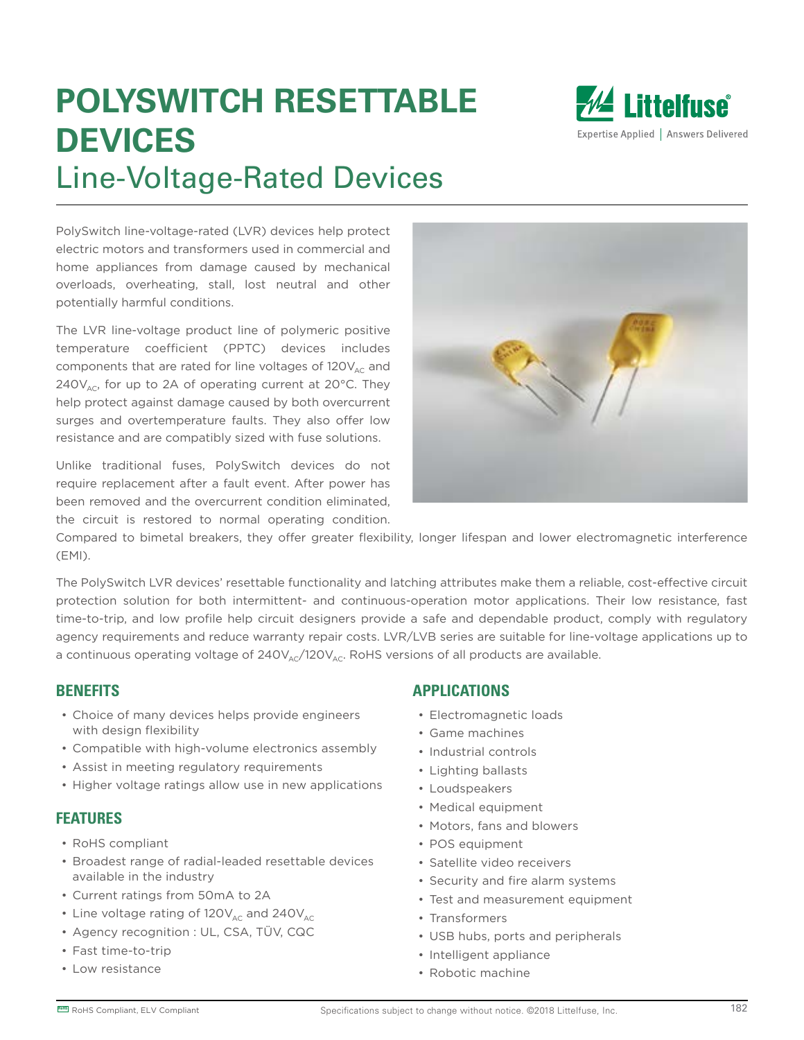# **POLYSWITCH RESETTABLE DEVICES** Line-Voltage-Rated Devices



PolySwitch line-voltage-rated (LVR) devices help protect electric motors and transformers used in commercial and home appliances from damage caused by mechanical overloads, overheating, stall, lost neutral and other potentially harmful conditions.

The LVR line-voltage product line of polymeric positive temperature coefficient (PPTC) devices includes components that are rated for line voltages of  $120V_{AC}$  and 240 $V<sub>AC</sub>$ , for up to 2A of operating current at 20 $^{\circ}$ C. They help protect against damage caused by both overcurrent surges and overtemperature faults. They also offer low resistance and are compatibly sized with fuse solutions.

Unlike traditional fuses, PolySwitch devices do not require replacement after a fault event. After power has been removed and the overcurrent condition eliminated, the circuit is restored to normal operating condition.



Compared to bimetal breakers, they offer greater flexibility, longer lifespan and lower electromagnetic interference (EMI).

The PolySwitch LVR devices' resettable functionality and latching attributes make them a reliable, cost-effective circuit protection solution for both intermittent- and continuous-operation motor applications. Their low resistance, fast time-to-trip, and low profile help circuit designers provide a safe and dependable product, comply with regulatory agency requirements and reduce warranty repair costs. LVR/LVB series are suitable for line-voltage applications up to a continuous operating voltage of  $240V_{A}C/120V_{A}C$ . RoHS versions of all products are available.

#### **BENEFITS**

- Choice of many devices helps provide engineers with design flexibility
- Compatible with high-volume electronics assembly
- Assist in meeting regulatory requirements
- Higher voltage ratings allow use in new applications

#### **FEATURES**

- RoHS compliant
- Broadest range of radial-leaded resettable devices available in the industry
- Current ratings from 50mA to 2A
- Line voltage rating of  $120V_{AC}$  and  $240V_{AC}$
- Agency recognition : UL, CSA, TÜV, CQC
- Fast time-to-trip
- Low resistance

#### **APPLICATIONS**

- Electromagnetic loads
- Game machines
- Industrial controls
- Lighting ballasts
- Loudspeakers
- Medical equipment
- Motors, fans and blowers
- POS equipment
- Satellite video receivers
- Security and fire alarm systems
- Test and measurement equipment
- Transformers
- USB hubs, ports and peripherals
- Intelligent appliance
- Robotic machine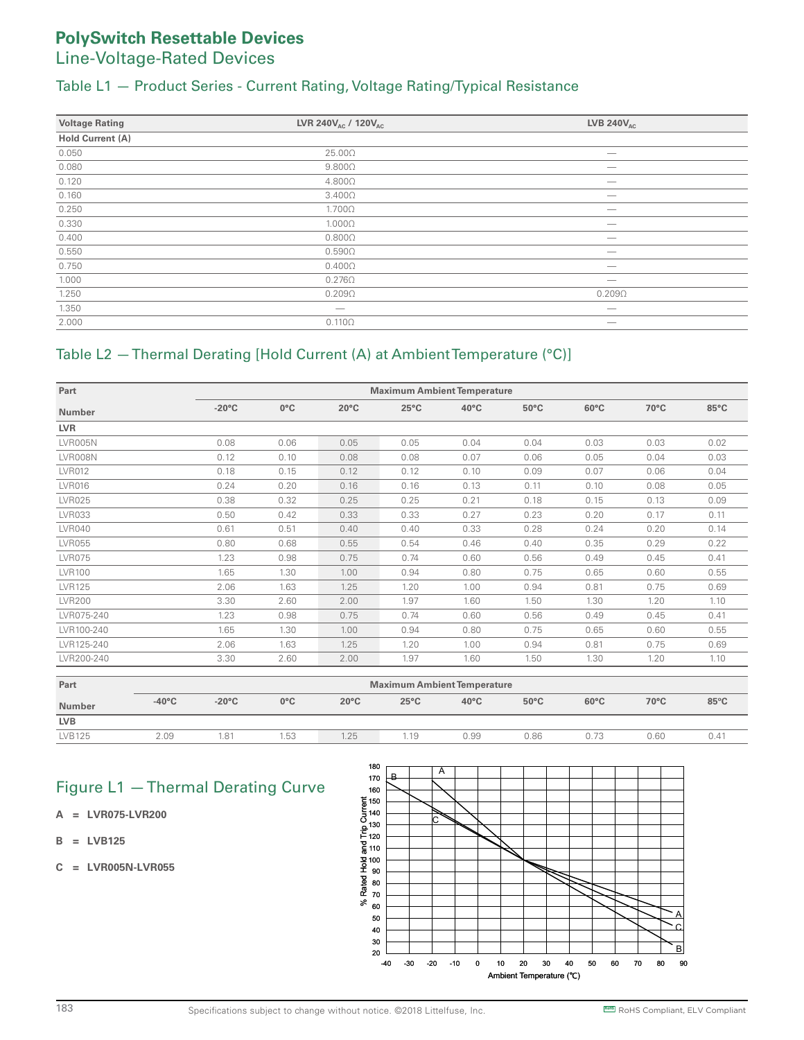#### Table L1 — Product Series - Current Rating, Voltage Rating/Typical Resistance

| <b>Voltage Rating</b> | LVR 240V <sub>AC</sub> / 120V <sub>AC</sub> | <b>LVB 240V<sub>AC</sub></b> |
|-----------------------|---------------------------------------------|------------------------------|
| Hold Current (A)      |                                             |                              |
| 0.050                 | $25.00\Omega$                               |                              |
| 0.080                 | $9.800\Omega$                               | –                            |
| 0.120                 | $4.800\Omega$                               |                              |
| 0.160                 | $3.400\Omega$                               | _                            |
| 0.250                 | $1.700\Omega$                               |                              |
| 0.330                 | $1.000\Omega$                               |                              |
| 0.400                 | $0.800\Omega$                               |                              |
| 0.550                 | $0.590\Omega$                               |                              |
| 0.750                 | $0.400\Omega$                               | _                            |
| 1.000                 | $0.276\Omega$                               |                              |
| 1.250                 | $0.209\Omega$                               | $0.209\Omega$                |
| 1.350                 |                                             |                              |
| 2.000                 | $0.110\Omega$                               |                              |

#### Table L2 — Thermal Derating [Hold Current (A) at Ambient Temperature (°C)]

| Part           |                 | <b>Maximum Ambient Temperature</b> |                |                |                |                |                |      |                |  |  |
|----------------|-----------------|------------------------------------|----------------|----------------|----------------|----------------|----------------|------|----------------|--|--|
| <b>Number</b>  | $-20^{\circ}$ C | $0^{\circ}$ C                      | $20^{\circ}$ C | $25^{\circ}$ C | $40^{\circ}$ C | $50^{\circ}$ C | $60^{\circ}$ C | 70°C | $85^{\circ}$ C |  |  |
| <b>LVR</b>     |                 |                                    |                |                |                |                |                |      |                |  |  |
| <b>LVR005N</b> | 0.08            | 0.06                               | 0.05           | 0.05           | 0.04           | 0.04           | 0.03           | 0.03 | 0.02           |  |  |
| LVR008N        | 0.12            | 0.10                               | 0.08           | 0.08           | 0.07           | 0.06           | 0.05           | 0.04 | 0.03           |  |  |
| <b>LVR012</b>  | 0.18            | 0.15                               | 0.12           | 0.12           | 0.10           | 0.09           | 0.07           | 0.06 | 0.04           |  |  |
| <b>LVR016</b>  | 0.24            | 0.20                               | 0.16           | 0.16           | 0.13           | 0.11           | 0.10           | 0.08 | 0.05           |  |  |
| <b>LVR025</b>  | 0.38            | 0.32                               | 0.25           | 0.25           | 0.21           | 0.18           | 0.15           | 0.13 | 0.09           |  |  |
| <b>LVR033</b>  | 0.50            | 0.42                               | 0.33           | 0.33           | 0.27           | 0.23           | 0.20           | 0.17 | 0.11           |  |  |
| <b>LVR040</b>  | 0.61            | 0.51                               | 0.40           | 0.40           | 0.33           | 0.28           | 0.24           | 0.20 | 0.14           |  |  |
| <b>LVR055</b>  | 0.80            | 0.68                               | 0.55           | 0.54           | 0.46           | 0.40           | 0.35           | 0.29 | 0.22           |  |  |
| <b>LVR075</b>  | 1.23            | 0.98                               | 0.75           | 0.74           | 0.60           | 0.56           | 0.49           | 0.45 | 0.41           |  |  |
| <b>LVR100</b>  | 1.65            | 1.30                               | 1.00           | 0.94           | 0.80           | 0.75           | 0.65           | 0.60 | 0.55           |  |  |
| <b>LVR125</b>  | 2.06            | 1.63                               | 1.25           | 1.20           | 1.00           | 0.94           | 0.81           | 0.75 | 0.69           |  |  |
| <b>LVR200</b>  | 3.30            | 2.60                               | 2.00           | 1.97           | 1.60           | 1.50           | 1.30           | 1.20 | 1.10           |  |  |
| LVR075-240     | 1.23            | 0.98                               | 0.75           | 0.74           | 0.60           | 0.56           | 0.49           | 0.45 | 0.41           |  |  |
| LVR100-240     | 1.65            | 1.30                               | 1.00           | 0.94           | 0.80           | 0.75           | 0.65           | 0.60 | 0.55           |  |  |
| LVR125-240     | 2.06            | 1.63                               | 1.25           | 1.20           | 1.00           | 0.94           | 0.81           | 0.75 | 0.69           |  |  |
| LVR200-240     | 3.30            | 2.60                               | 2.00           | 1.97           | 1.60           | 1.50           | 1.30           | 1.20 | 1.10           |  |  |
|                |                 |                                    |                |                |                |                |                |      |                |  |  |

| Part          | <b>Maximum Ambient Temperature</b> |                 |               |                |                |                |                |                |      |                |  |  |
|---------------|------------------------------------|-----------------|---------------|----------------|----------------|----------------|----------------|----------------|------|----------------|--|--|
| <b>Number</b> | $-40^{\circ}$ C                    | $-20^{\circ}$ C | $0^{\circ}$ C | $20^{\circ}$ C | $25^{\circ}$ C | $40^{\circ}$ C | $50^{\circ}$ C | $60^{\circ}$ C | 70°C | $85^{\circ}$ C |  |  |
| <b>LVB</b>    |                                    |                 |               |                |                |                |                |                |      |                |  |  |
| LVB125        | 2.09                               | 1.81            | 1.53          | 1.25           | 1 1 Q          | ა.99           | 0.86           | 0.73           | 0.60 | 0.41           |  |  |

### Figure L1 — Thermal Derating Curve

- **A = LVR075-LVR200**
- **B = LVB125**
- **C = LVR005N-LVR055**

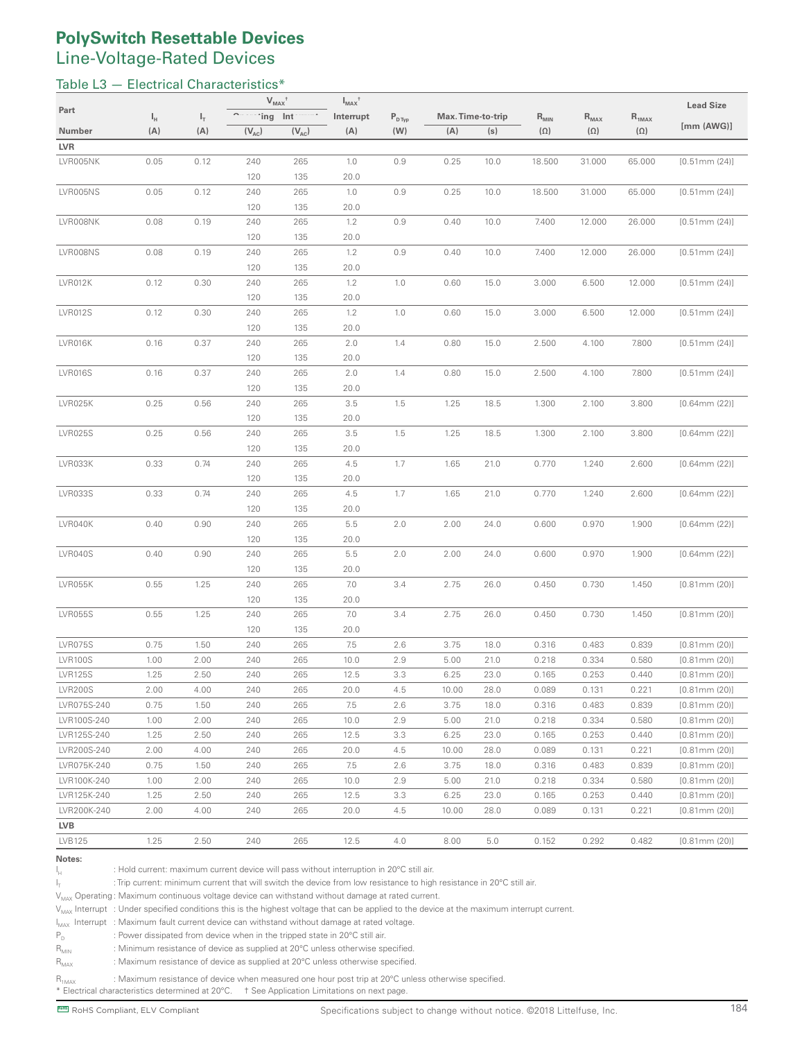#### Table L3 - Electrical Characteristics\*

|                |         |       | $V_{MAX}$ <sup>†</sup> |            | $I_{MAX}$ <sup>†</sup> |                    |       |                   |            |            |            | <b>Lead Size</b>   |
|----------------|---------|-------|------------------------|------------|------------------------|--------------------|-------|-------------------|------------|------------|------------|--------------------|
| Part           | $I_{H}$ | $I_T$ | 'ing Int               |            | Interrupt              | $P_{D \text{Typ}}$ |       | Max. Time-to-trip | $R_{MIN}$  | $R_{MAX}$  | $R_{1MAX}$ |                    |
| Number         | (A)     | (A)   | $(V_{AC})$             | $(V_{AC})$ | (A)                    | (W)                | (A)   | (s)               | $(\Omega)$ | $(\Omega)$ | $(\Omega)$ | [mm (AWG)]         |
| <b>LVR</b>     |         |       |                        |            |                        |                    |       |                   |            |            |            |                    |
| LVR005NK       | 0.05    | 0.12  | 240                    | 265        | 1.0                    | 0.9                | 0.25  | 10.0              | 18.500     | 31.000     | 65.000     | [0.51mm(24)]       |
|                |         |       | 120                    | 135        | 20.0                   |                    |       |                   |            |            |            |                    |
| LVR005NS       | 0.05    | 0.12  | 240                    | 265        | 1.0                    | 0.9                | 0.25  | 10.0              | 18.500     | 31.000     | 65.000     | [0.51mm(24)]       |
|                |         |       | 120                    | 135        | 20.0                   |                    |       |                   |            |            |            |                    |
| LVR008NK       | 0.08    | 0.19  | 240                    | 265        | 1.2                    | 0.9                | 0.40  | 10.0              | 7.400      | 12.000     | 26.000     | $[0.51$ mm $(24)]$ |
|                |         |       | 120                    | 135        | 20.0                   |                    |       |                   |            |            |            |                    |
| LVR008NS       | 0.08    | 0.19  | 240                    | 265        | 1.2                    | 0.9                | 0.40  | 10.0              | 7.400      | 12.000     | 26.000     | [0.51mm(24)]       |
|                |         |       | 120                    | 135        | 20.0                   |                    |       |                   |            |            |            |                    |
| LVR012K        | 0.12    | 0.30  | 240                    | 265        | 1.2                    | 1.0                | 0.60  | 15.0              | 3.000      | 6.500      | 12.000     | $[0.51$ mm $(24)]$ |
|                |         |       | 120                    | 135        | 20.0                   |                    |       |                   |            |            |            |                    |
| <b>LVR012S</b> | 0.12    | 0.30  | 240                    | 265        | 1.2                    | 1.0                | 0.60  | 15.0              | 3.000      | 6.500      | 12.000     | $[0.51$ mm $(24)]$ |
|                |         |       | 120                    | 135        | 20.0                   |                    |       |                   |            |            |            |                    |
| LVR016K        | 0.16    | 0.37  | 240                    | 265        | 2.0                    | 1.4                | 0.80  | 15.0              | 2.500      | 4.100      | 7.800      | $[0.51$ mm $(24)]$ |
|                |         |       | 120                    | 135        | 20.0                   |                    |       |                   |            |            |            |                    |
| LVR016S        | 0.16    | 0.37  | 240                    | 265        | 2.0                    | 1.4                | 0.80  | 15.0              | 2.500      | 4.100      | 7.800      | [0.51mm(24)]       |
|                |         |       | 120                    | 135        | 20.0                   |                    |       |                   |            |            |            |                    |
| LVR025K        | 0.25    | 0.56  | 240                    | 265        | 3.5                    | 1.5                | 1.25  | 18.5              | 1.300      | 2.100      | 3.800      | $[0.64$ mm $(22)]$ |
|                |         |       | 120                    | 135        | 20.0                   |                    |       |                   |            |            |            |                    |
| <b>LVR025S</b> | 0.25    | 0.56  | 240                    | 265        | 3.5                    | 1.5                | 1.25  | 18.5              | 1.300      | 2.100      | 3.800      | $[0.64$ mm $(22)]$ |
|                |         |       | 120                    | 135        | 20.0                   |                    |       |                   |            |            |            |                    |
| LVR033K        | 0.33    | 0.74  | 240                    | 265        | 4.5                    | 1.7                | 1.65  | 21.0              | 0.770      | 1.240      | 2.600      | $[0.64$ mm $(22)]$ |
|                |         |       | 120                    | 135        | 20.0                   |                    |       |                   |            |            |            |                    |
| LVR033S        | 0.33    | 0.74  | 240                    | 265        | 4.5                    | 1.7                | 1.65  | 21.0              | 0.770      | 1.240      | 2.600      | $[0.64$ mm $(22)]$ |
| LVR040K        | 0.40    | 0.90  | 120<br>240             | 135<br>265 | 20.0                   | 2.0                | 2.00  | 24.0              | 0.600      | 0.970      | 1.900      | $[0.64$ mm $(22)]$ |
|                |         |       | 120                    | 135        | 5.5<br>20.0            |                    |       |                   |            |            |            |                    |
| LVR040S        | 0.40    | 0.90  | 240                    | 265        | 5.5                    | 2.0                | 2.00  | 24.0              | 0.600      | 0.970      | 1.900      | $[0.64$ mm $(22)]$ |
|                |         |       | 120                    | 135        | 20.0                   |                    |       |                   |            |            |            |                    |
| LVR055K        | 0.55    | 1.25  | 240                    | 265        | 7.0                    | 3.4                | 2.75  | 26.0              | 0.450      | 0.730      | 1.450      | $[0.81$ mm $(20)]$ |
|                |         |       | 120                    | 135        | 20.0                   |                    |       |                   |            |            |            |                    |
| <b>LVR055S</b> | 0.55    | 1.25  | 240                    | 265        | 7.0                    | 3.4                | 2.75  | 26.0              | 0.450      | 0.730      | 1.450      | $[0.81$ mm $(20)]$ |
|                |         |       | 120                    | 135        | 20.0                   |                    |       |                   |            |            |            |                    |
| LVR075S        | 0.75    | 1.50  | 240                    | 265        | 7.5                    | 2.6                | 3.75  | 18.0              | 0.316      | 0.483      | 0.839      | [0.81mm (20)]      |
| <b>LVR100S</b> | 1.00    | 2.00  | 240                    | 265        | 10.0                   | 2.9                | 5.00  | 21.0              | 0.218      | 0.334      | 0.580      | $[0.81$ mm $(20)]$ |
| <b>LVR125S</b> | 1.25    | 2.50  | 240                    | 265        | 12.5                   | 3.3                | 6.25  | 23.0              | 0.165      | 0.253      | 0.440      | $[0.81$ mm $(20)]$ |
| <b>LVR200S</b> | 2.00    | 4.00  | 240                    | 265        | 20.0                   | 4.5                | 10.00 | 28.0              | 0.089      | 0.131      | 0.221      | [0.81mm (20)]      |
| LVR075S-240    | 0.75    | 1.50  | 240                    | 265        | 7.5                    | 2.6                | 3.75  | 18.0              | 0.316      | 0.483      | 0.839      | $[0.81$ mm $(20)]$ |
| LVR100S-240    | 1.00    | 2.00  | 240                    | 265        | 10.0                   | 2.9                | 5.00  | 21.0              | 0.218      | 0.334      | 0.580      | $[0.81$ mm $(20)]$ |
| LVR125S-240    | 1.25    | 2.50  | 240                    | 265        | 12.5                   | 3.3                | 6.25  | 23.0              | 0.165      | 0.253      | 0.440      | [0.81mm(20)]       |
| LVR200S-240    | 2.00    | 4.00  | 240                    | 265        | 20.0                   | 4.5                | 10.00 | 28.0              | 0.089      | 0.131      | 0.221      | $[0.81$ mm $(20)]$ |
| LVR075K-240    | 0.75    | 1.50  | 240                    | 265        | 7.5                    | 2.6                | 3.75  | 18.0              | 0.316      | 0.483      | 0.839      | $[0.81$ mm $(20)]$ |
| LVR100K-240    | 1.00    | 2.00  | 240                    | 265        | 10.0                   | 2.9                | 5.00  | 21.0              | 0.218      | 0.334      | 0.580      | $[0.81$ mm $(20)]$ |
| LVR125K-240    | 1.25    | 2.50  | 240                    | 265        | 12.5                   | 3.3                | 6.25  | 23.0              | 0.165      | 0.253      | 0.440      | [0.81mm (20)]      |
| LVR200K-240    | 2.00    | 4.00  | 240                    | 265        | 20.0                   | 4.5                | 10.00 | 28.0              | 0.089      | 0.131      | 0.221      | $[0.81$ mm $(20)]$ |
| <b>LVB</b>     |         |       |                        |            |                        |                    |       |                   |            |            |            |                    |
| LVB125         | 1.25    | 2.50  | 240                    | 265        | 12.5                   | 4.0                | 8.00  | 5.0               | 0.152      | 0.292      | 0.482      | $[0.81$ mm $(20)]$ |

#### **Notes:**

 $I_H$  : Hold current: maximum current device will pass without interruption in 20 $^{\circ}$ C still air.

 $I_T$  : Trip current: minimum current that will switch the device from low resistance to high resistance in 20°C still air.

 $V_{MAX}$  Operating : Maximum continuous voltage device can withstand without damage at rated current.

V<sub>MAX</sub> Interrupt : Under specified conditions this is the highest voltage that can be applied to the device at the maximum interrupt current.

 $I_{MAX}$  Interrupt : Maximum fault current device can withstand without damage at rated voltage.

 $P_D$  : Power dissipated from device when in the tripped state in 20°C still air.<br> $R_{MIN}$  : Minimum resistance of device as supplied at 20°C unless otherwise sp : Minimum resistance of device as supplied at 20°C unless otherwise specified.

 $R_{MAX}$  : Maximum resistance of device as supplied at 20 $^{\circ}$ C unless otherwise specified.

R1MAX : Maximum resistance of device when measured one hour post trip at 20°C unless otherwise specified.

 $*$  Electrical characteristics determined at 20 $^{\circ}$ C.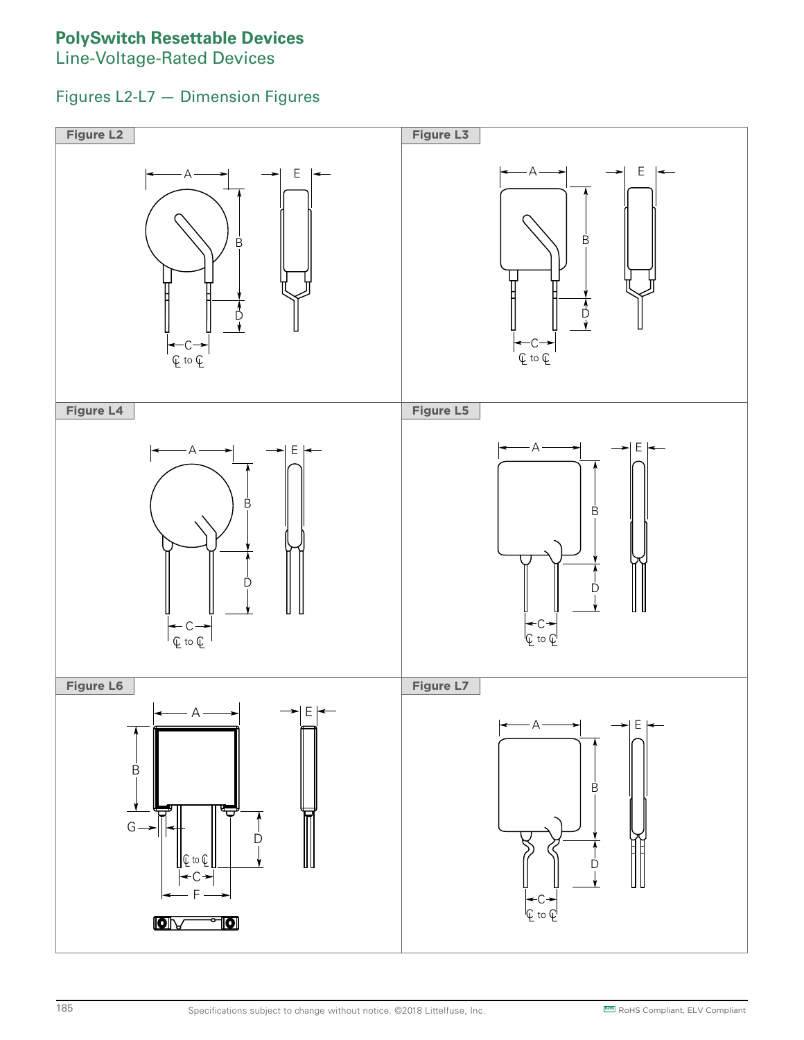### **PolySwitch Resettable Devices**

**Line-Voltage-Rated Devices** 

#### Figures L2-L7 — Dimension Figures C  $\cdot$  ווו

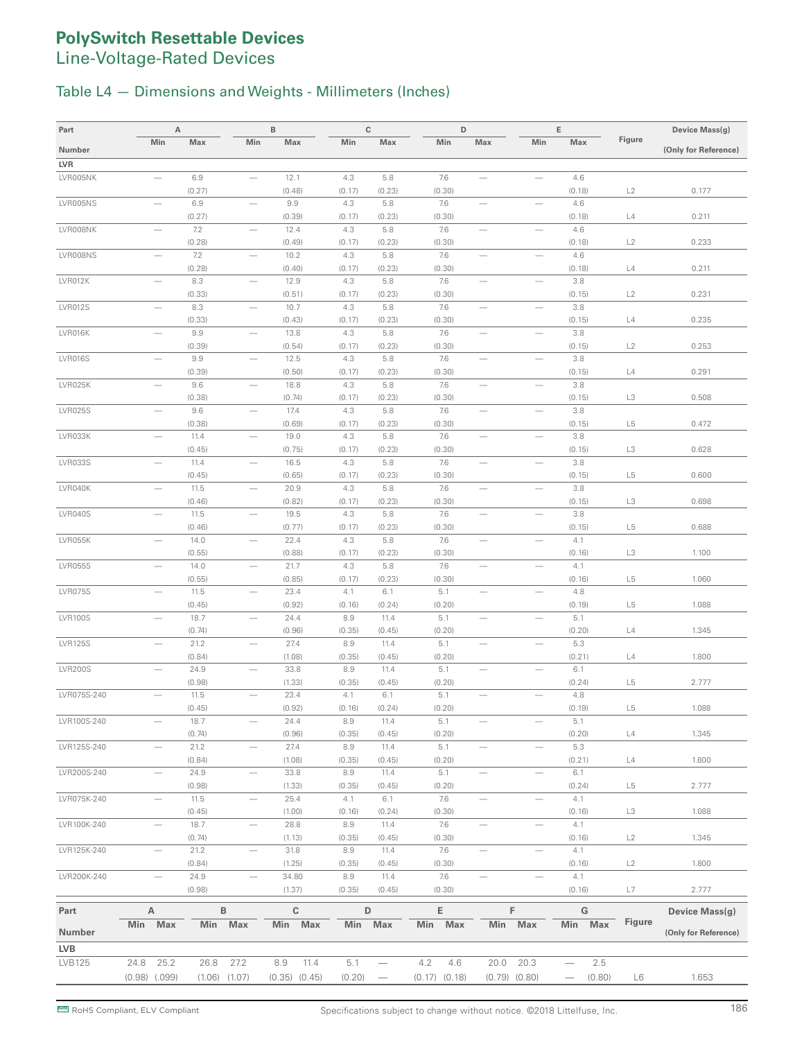#### Table L4 — Dimensions and Weights - Millimeters (Inches)

| Part           |                   | А                        |                |                   | B              |                   | $\mathbb{C}$  |                                       | D                 |                          |                          | E             |                | Device Mass(g)       |
|----------------|-------------------|--------------------------|----------------|-------------------|----------------|-------------------|---------------|---------------------------------------|-------------------|--------------------------|--------------------------|---------------|----------------|----------------------|
| Number         |                   | Min                      | Max            | Min               | Max            |                   | Min           | Max                                   | Min               | Max                      | Min                      | Max           | Figure         | (Only for Reference) |
| LVR            |                   |                          |                |                   |                |                   |               |                                       |                   |                          |                          |               |                |                      |
| LVR005NK       |                   |                          | 6.9            |                   | 12.1           |                   | 4.3           | 5.8                                   | 7.6               | $\overline{\phantom{0}}$ | $\overline{\phantom{0}}$ | 4.6           |                |                      |
|                |                   |                          | (0.27)         |                   | (0.48)         |                   | (0.17)        | (0.23)                                | (0.30)            |                          |                          | (0.18)        | L2             | 0.177                |
| LVR005NS       |                   | $\overline{\phantom{a}}$ | 6.9            |                   | 9.9            |                   | 4.3           | 5.8                                   | 7.6               |                          | $\overline{\phantom{0}}$ | 4.6           |                |                      |
|                |                   |                          | (0.27)         |                   | (0.39)         |                   | (0.17)        | (0.23)                                | (0.30)            |                          |                          | (0.18)        | L4             | 0.211                |
| LVR008NK       |                   |                          | 7.2            |                   | 12.4           |                   | 4.3           | 5.8                                   | 7.6               |                          |                          | 4.6           |                |                      |
|                |                   |                          | (0.28)         |                   | (0.49)         |                   | (0.17)        | (0.23)                                | (0.30)            |                          |                          | (0.18)        | L2             | 0.233                |
| LVR008NS       |                   |                          | 7.2            |                   | 10.2           |                   | 4.3           | 5.8                                   | 7.6               | -                        |                          | 4.6           |                |                      |
| LVR012K        |                   | $\overline{\phantom{m}}$ | (0.28)<br>8.3  |                   | (0.40)<br>12.9 |                   | (0.17)<br>4.3 | (0.23)                                | (0.30)            |                          | $\overline{\phantom{0}}$ | (0.18)<br>3.8 | L4             | 0.211                |
|                |                   |                          | (0.33)         |                   | (0.51)         |                   | (0.17)        | 5.8<br>(0.23)                         | 7.6<br>(0.30)     | $\qquad \qquad$          |                          | (0.15)        | L2             | 0.231                |
| <b>LVR012S</b> |                   |                          | 8.3            |                   | 10.7           |                   | 4.3           | 5.8                                   | 7.6               |                          |                          | 3.8           |                |                      |
|                |                   |                          | (0.33)         |                   | (0.43)         |                   | (0.17)        | (0.23)                                | (0.30)            |                          |                          | (0.15)        | L4             | 0.235                |
| LVR016K        |                   |                          | 9.9            |                   | 13.8           |                   | 4.3           | 5.8                                   | 7.6               | $\overline{\phantom{0}}$ |                          | 3.8           |                |                      |
|                |                   |                          | (0.39)         |                   | (0.54)         |                   | (0.17)        | (0.23)                                | (0.30)            |                          |                          | (0.15)        | L2             | 0.253                |
| <b>LVR016S</b> |                   | $\overline{\phantom{0}}$ | 9.9            |                   | 12.5           |                   | 4.3           | 5.8                                   | 7.6               |                          | $\qquad \qquad$          | 3.8           |                |                      |
|                |                   |                          | (0.39)         |                   | (0.50)         |                   | (0.17)        | (0.23)                                | (0.30)            |                          |                          | (0.15)        | L4             | 0.291                |
| LVR025K        |                   |                          | 9.6            |                   | 18.8           |                   | 4.3           | 5.8                                   | 7.6               |                          | $\qquad \qquad$          | 3.8           |                |                      |
|                |                   |                          | (0.38)         |                   | (0.74)         |                   | (0.17)        | (0.23)                                | (0.30)            |                          |                          | (0.15)        | L3             | 0.508                |
| <b>LVR025S</b> |                   |                          | 9.6<br>(0.38)  |                   | 17.4<br>(0.69) |                   | 4.3<br>(0.17) | 5.8<br>(0.23)                         | 7.6<br>(0.30)     |                          |                          | 3.8<br>(0.15) | L <sub>5</sub> | 0.472                |
| LVR033K        |                   |                          | 11.4           |                   | 19.0           |                   | 4.3           | 5.8                                   | 7.6               |                          |                          | 3.8           |                |                      |
|                |                   |                          | (0.45)         |                   | (0.75)         |                   | (0.17)        | (0.23)                                | (0.30)            |                          |                          | (0.15)        | L3             | 0.628                |
| <b>LVR033S</b> |                   | $\overline{\phantom{0}}$ | 11.4           |                   | 16.5           |                   | 4.3           | 5.8                                   | 7.6               | $\overline{\phantom{0}}$ | $\overline{\phantom{0}}$ | 3.8           |                |                      |
|                |                   |                          | (0.45)         |                   | (0.65)         |                   | (0.17)        | (0.23)                                | (0.30)            |                          |                          | (0.15)        | L <sub>5</sub> | 0.600                |
| LVR040K        |                   |                          | 11.5           | -                 | 20.9           |                   | 4.3           | 5.8                                   | 7.6               | -                        |                          | 3.8           |                |                      |
|                |                   |                          | (0.46)         |                   | (0.82)         |                   | (0.17)        | (0.23)                                | (0.30)            |                          |                          | (0.15)        | L3             | 0.698                |
| LVR040S        |                   | $\overline{\phantom{0}}$ | 11.5           |                   | 19.5           |                   | 4.3           | 5.8                                   | 7.6               |                          |                          | 3.8           |                |                      |
| LVR055K        |                   | $\overline{\phantom{0}}$ | (0.46)<br>14.0 |                   | (0.77)<br>22.4 |                   | (0.17)<br>4.3 | (0.23)<br>5.8                         | (0.30)<br>7.6     | $\overline{\phantom{0}}$ | $\overline{\phantom{0}}$ | (0.15)<br>4.1 | L5             | 0.688                |
|                |                   |                          | (0.55)         |                   | (0.88)         |                   | (0.17)        | (0.23)                                | (0.30)            |                          |                          | (0.16)        | L3             | 1.100                |
| <b>LVR055S</b> |                   |                          | 14.0           |                   | 21.7           |                   | 4.3           | 5.8                                   | 7.6               | $\qquad \qquad$          | $\qquad \qquad$          | 4.1           |                |                      |
|                |                   |                          | (0.55)         |                   | (0.85)         |                   | (0.17)        | (0.23)                                | (0.30)            |                          |                          | (0.16)        | L5             | 1.060                |
| <b>LVR075S</b> |                   |                          | 11.5           |                   | 23.4           |                   | 4.1           | 6.1                                   | 5.1               |                          |                          | 4.8           |                |                      |
|                |                   |                          | (0.45)         |                   | (0.92)         |                   | (0.16)        | (0.24)                                | (0.20)            |                          |                          | (0.19)        | L5             | 1.088                |
| <b>LVR100S</b> |                   |                          | 18.7           |                   | 24.4           |                   | 8.9           | 11.4                                  | 5.1               |                          |                          | 5.1           |                |                      |
| <b>LVR125S</b> |                   | $\overline{\phantom{0}}$ | (0.74)<br>21.2 | $\qquad \qquad$   | (0.96)<br>27.4 |                   | (0.35)<br>8.9 | (0.45)<br>11.4                        | (0.20)<br>5.1     | $\overline{\phantom{0}}$ |                          | (0.20)<br>5.3 | L4             | 1.345                |
|                |                   |                          | (0.84)         |                   | (1.08)         |                   | (0.35)        | (0.45)                                | (0.20)            |                          |                          | (0.21)        | L4             | 1.800                |
| <b>LVR200S</b> |                   |                          | 24.9           |                   | 33.8           |                   | 8.9           | 11.4                                  | 5.1               |                          |                          | 6.1           |                |                      |
|                |                   |                          | (0.98)         |                   | (1.33)         |                   | (0.35)        | (0.45)                                | (0.20)            |                          |                          | (0.24)        | L <sub>5</sub> | 2.777                |
| LVR075S-240    |                   |                          | 11.5           |                   | 23.4           |                   | 4.1           | 6.1                                   | 5.1               |                          |                          | 4.8           |                |                      |
|                |                   |                          | (0.45)         |                   | (0.92)         |                   | (0.16)        | (0.24)                                | (0.20)            |                          |                          | (0.19)        | L5             | 1.088                |
| LVR100S-240    |                   |                          | 18.7           |                   | 24.4           |                   | 8.9           | 11.4                                  | 5.1               |                          |                          | 5.1           |                |                      |
|                |                   |                          | (0.74)         |                   | (0.96)         |                   | (0.35)        | (0.45)                                | (0.20)            |                          |                          | (0.20)        | L4             | 1.345                |
| LVR125S-240    |                   |                          | 21.2<br>(0.84) |                   | 27.4<br>(1.08) |                   | 8.9<br>(0.35) | 11.4<br>(0.45)                        | 5.1<br>(0.20)     |                          |                          | 5.3<br>(0.21) | L4             | 1.800                |
| LVR200S-240    |                   |                          | 24.9           |                   | 33.8           |                   | 8.9           | 11.4                                  | 5.1               | $\overline{\phantom{0}}$ |                          | 6.1           |                |                      |
|                |                   |                          | (0.98)         |                   | (1.33)         |                   | (0.35)        | (0.45)                                | (0.20)            |                          |                          | (0.24)        | L <sub>5</sub> | 2.777                |
| LVR075K-240    |                   |                          | 11.5           |                   | 25.4           |                   | 4.1           | 6.1                                   | 7.6               |                          |                          | 4.1           |                |                      |
|                |                   |                          | (0.45)         |                   | (1.00)         |                   | (0.16)        | (0.24)                                | (0.30)            |                          |                          | (0.16)        | L3             | 1.088                |
| LVR100K-240    |                   |                          | 18.7           | $\qquad \qquad -$ | 28.8           |                   | 8.9           | 11.4                                  | 7.6               | $\overline{\phantom{m}}$ |                          | 4.1           |                |                      |
|                |                   |                          | (0.74)         |                   | (1.13)         |                   | (0.35)        | (0.45)                                | (0.30)            |                          |                          | (0.16)        | L2             | 1.345                |
| LVR125K-240    |                   |                          | 21.2<br>(0.84) |                   | 31.8<br>(1.25) |                   | 8.9<br>(0.35) | 11.4<br>(0.45)                        | 7.6<br>(0.30)     |                          |                          | 4.1<br>(0.16) | L2             | 1.800                |
| LVR200K-240    |                   |                          | 24.9           |                   | 34.80          |                   | 8.9           | 11.4                                  | 7.6               |                          |                          | 4.1           |                |                      |
|                |                   |                          | (0.98)         |                   | (1.37)         |                   | (0.35)        | (0.45)                                | (0.30)            |                          |                          | (0.16)        | L7             | 2.777                |
| Part           |                   | Α                        |                | $\mathsf B$       |                | $\mathbf C$       | $\mathsf D$   |                                       | E                 |                          | F                        | ${\bf G}$     |                | Device Mass(g)       |
|                |                   | Min Max                  | Min            | Max               |                | Min Max           | Min           | Max                                   | Min Max           |                          | Min Max                  | Min Max       | Figure         |                      |
| Number         |                   |                          |                |                   |                |                   |               |                                       |                   |                          |                          |               |                | (Only for Reference) |
| <b>LVB</b>     |                   |                          |                |                   |                |                   |               |                                       |                   |                          |                          |               |                |                      |
| LVB125         | 24.8              | 25.2                     | 26.8           | 27.2              | 8.9            | 11.4              | 5.1           | $\hspace{1.0cm} \rule{1.5cm}{0.15cm}$ | 4.2<br>4.6        | 20.0                     | 20.3                     | 2.5           |                |                      |
|                | $(0.98)$ $(.099)$ |                          |                | $(1.06)$ $(1.07)$ |                | $(0.35)$ $(0.45)$ | (0.20)        | $\qquad \qquad -$                     | $(0.17)$ $(0.18)$ |                          | $(0.79)$ $(0.80)$        | (0.80)        | L6             | 1.653                |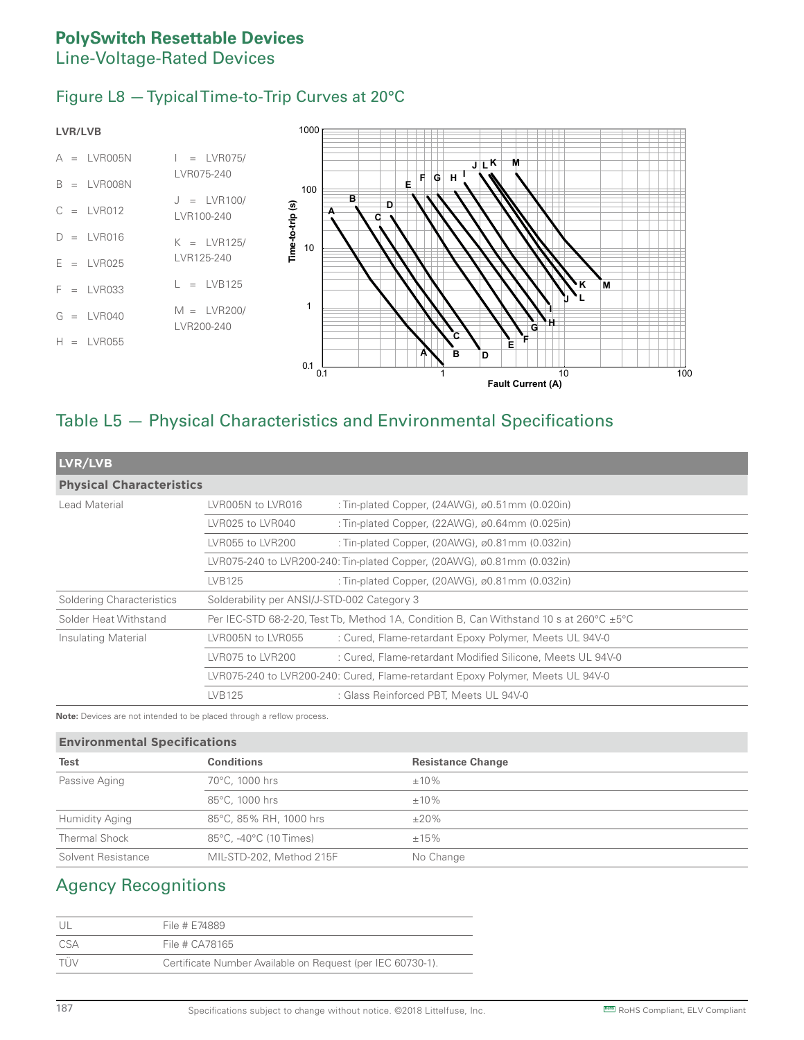#### Figure L8 — Typical Time-to-Trip Curves at 20°C



### Table L5 — Physical Characteristics and Environmental Specifications

| LVR/LVB                         |                                                                                |                                                                                                               |  |  |  |  |  |
|---------------------------------|--------------------------------------------------------------------------------|---------------------------------------------------------------------------------------------------------------|--|--|--|--|--|
| <b>Physical Characteristics</b> |                                                                                |                                                                                                               |  |  |  |  |  |
| Lead Material                   | LVR005N to LVR016                                                              | : Tin-plated Copper, $(24AWG)$ , $\varnothing$ 0.51mm $(0.020$ in)                                            |  |  |  |  |  |
|                                 | LVR025 to LVR040                                                               | : Tin-plated Copper, (22AWG), ø0.64mm (0.025in)                                                               |  |  |  |  |  |
|                                 | LVR055 to LVR200                                                               | : Tin-plated Copper, (20AWG), $\varnothing$ 0.81mm (0.032in)                                                  |  |  |  |  |  |
|                                 | LVR075-240 to LVR200-240: Tin-plated Copper, (20AWG), ø0.81mm (0.032in)        |                                                                                                               |  |  |  |  |  |
|                                 | LVB125                                                                         | : Tin-plated Copper, $(20AWG)$ , $\varnothing$ 0.81mm $(0.032in)$                                             |  |  |  |  |  |
| Soldering Characteristics       | Solderability per ANSI/J-STD-002 Category 3                                    |                                                                                                               |  |  |  |  |  |
| Solder Heat Withstand           |                                                                                | Per IEC-STD 68-2-20, Test Tb, Method 1A, Condition B, Can Withstand 10 s at $260^{\circ}$ C $\pm 5^{\circ}$ C |  |  |  |  |  |
| Insulating Material             | LVR005N to LVR055                                                              | : Cured, Flame-retardant Epoxy Polymer, Meets UL 94V-0                                                        |  |  |  |  |  |
|                                 | LVR075 to LVR200                                                               | : Cured, Flame-retardant Modified Silicone, Meets UL 94V-0                                                    |  |  |  |  |  |
|                                 | LVR075-240 to LVR200-240: Cured, Flame-retardant Epoxy Polymer, Meets UL 94V-0 |                                                                                                               |  |  |  |  |  |
|                                 | LVB125                                                                         | : Glass Reinforced PBT, Meets UL 94V-0                                                                        |  |  |  |  |  |

**Note:** Devices are not intended to be placed through a reflow process.

#### **Environmental Specifications**

| <b>Test</b>           | <b>Conditions</b>        | <b>Resistance Change</b> |
|-----------------------|--------------------------|--------------------------|
| Passive Aging         | 70°C, 1000 hrs           | $±10\%$                  |
|                       | 85°C, 1000 hrs           | $±10\%$                  |
| <b>Humidity Aging</b> | 85°C, 85% RH, 1000 hrs   | $\pm 20\%$               |
| Thermal Shock         | 85°C. -40°C (10 Times)   | ±15%                     |
| Solvent Resistance    | MIL-STD-202, Method 215F | No Change                |

### Agency Recognitions

| - I JI     | File # E74889                                              |
|------------|------------------------------------------------------------|
| CSA        | File # CA78165                                             |
| <b>TÜV</b> | Certificate Number Available on Request (per IEC 60730-1). |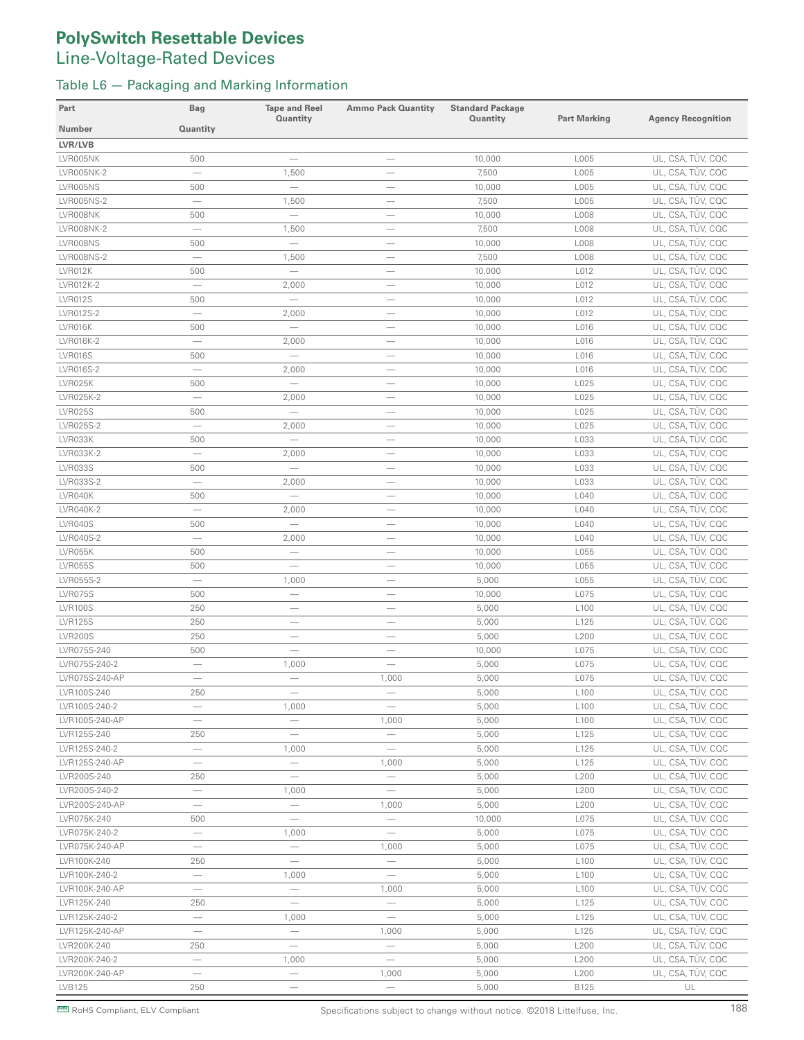#### Table L6 — Packaging and Marking Information

| Part           | <b>Bag</b>                      | <b>Tape and Reel</b><br>Quantity | <b>Ammo Pack Quantity</b>       | <b>Standard Package</b><br><b>Quantity</b> | <b>Part Marking</b> | <b>Agency Recognition</b> |
|----------------|---------------------------------|----------------------------------|---------------------------------|--------------------------------------------|---------------------|---------------------------|
| <b>Number</b>  | Quantity                        |                                  |                                 |                                            |                     |                           |
| LVR/LVB        |                                 |                                  |                                 |                                            |                     |                           |
| LVR005NK       | 500                             |                                  | $\overline{\phantom{0}}$        | 10,000                                     | L005                | UL, CSA, TÜV, CQC         |
| LVR005NK-2     | $\overline{\phantom{0}}$        | 1,500                            | $\overline{\phantom{0}}$        | 7,500                                      | L005                | UL, CSA, TÜV, CQC         |
| LVR005NS       | 500                             | $\overline{\phantom{0}}$         |                                 | 10,000                                     | L005                | UL, CSA, TÜV, CQC         |
| LVR005NS-2     | $\overbrace{\qquad \qquad }^{}$ | 1,500                            | $\overline{\phantom{m}}$        | 7,500                                      | L005                | UL, CSA, TÜV, CQC         |
| LVR008NK       | 500                             |                                  |                                 | 10,000                                     | L008                | UL, CSA, TÜV, CQC         |
| LVR008NK-2     | $\overbrace{\qquad \qquad }^{}$ | 1,500                            | $\overline{\phantom{m}}$        | 7,500                                      | L008                | UL, CSA, TÜV, CQC         |
| LVR008NS       | 500                             |                                  | $\overline{\phantom{0}}$        | 10,000                                     | L008                | UL, CSA, TÜV, CQC         |
| LVR008NS-2     |                                 | 1,500                            |                                 | 7,500                                      | L008                | UL, CSA, TÜV, CQC         |
| LVR012K        | 500                             |                                  |                                 | 10,000                                     | L012                | UL, CSA, TÜV, CQC         |
| LVR012K-2      | $\equiv$                        | 2,000                            | $\overline{\phantom{0}}$        | 10,000                                     | L012                | UL, CSA, TÜV, CQC         |
| <b>LVR012S</b> | 500                             |                                  | $\overline{\phantom{0}}$        | 10,000                                     | L012                | UL, CSA, TÜV, CQC         |
| LVR012S-2      | $\equiv$                        | 2,000                            |                                 | 10,000                                     | L012                | UL, CSA, TÜV, CQC         |
| LVR016K        | 500                             |                                  | $\hspace{0.1mm}-\hspace{0.1mm}$ | 10,000                                     | L016                | UL, CSA, TÜV, CQC         |
| LVR016K-2      | $\sim$                          | 2,000                            |                                 | 10,000                                     | L016                | UL, CSA, TÜV, CQC         |
| <b>LVR016S</b> | 500                             |                                  | $\overline{\phantom{m}}$        | 10,000                                     | L016                | UL, CSA, TÜV, CQC         |
| LVR016S-2      | $\overline{\phantom{m}}$        | 2,000                            | $\overline{\phantom{m}}$        | 10,000                                     | L016                | UL, CSA, TÜV, CQC         |
| LVR025K        | 500                             | $\equiv$                         |                                 | 10,000                                     | L025                | UL, CSA, TÜV, CQC         |
| LVR025K-2      |                                 | 2,000                            |                                 | 10,000                                     | L025                | UL, CSA, TÜV, CQC         |
| <b>LVR025S</b> | 500                             |                                  | $\overline{\phantom{m}}$        | 10,000                                     | L025                | UL, CSA, TÜV, CQC         |
| LVR025S-2      | $\overbrace{\qquad \qquad }^{}$ | 2,000                            |                                 | 10,000                                     | L025                | UL, CSA, TÜV, CQC         |
| LVR033K        | 500                             |                                  | $\overline{\phantom{0}}$        | 10,000                                     | L033                | UL, CSA, TÜV, CQC         |
| LVR033K-2      |                                 | 2,000                            | $\overline{\phantom{m}}$        | 10,000                                     | L033                | UL, CSA, TÜV, CQC         |
| <b>LVR033S</b> | 500                             |                                  |                                 | 10,000                                     | L033                | UL, CSA, TÜV, CQC         |
| LVR033S-2      | $\overline{\phantom{0}}$        | 2,000                            |                                 | 10,000                                     | L033                | UL, CSA, TÜV, CQC         |
| LVR040K        | 500                             | $\overline{\phantom{0}}$         |                                 | 10,000                                     | L040                | UL, CSA, TÜV, CQC         |
| LVR040K-2      | $\equiv$                        | 2,000                            | $\overline{\phantom{0}}$        | 10,000                                     | L040                | UL, CSA, TÜV, CQC         |
| <b>LVR040S</b> | 500                             | $\overline{\phantom{0}}$         |                                 | 10,000                                     | L040                | UL, CSA, TÜV, CQC         |
| LVR040S-2      | $\overline{\phantom{0}}$        | 2,000                            |                                 | 10,000                                     | L040                | UL, CSA, TÜV, CQC         |
| LVR055K        | 500                             |                                  |                                 | 10,000                                     | L055                | UL, CSA, TÜV, CQC         |
| <b>LVR055S</b> | 500                             | $\overline{\phantom{0}}$         | $\overline{\phantom{a}}$        | 10,000                                     | L055                | UL, CSA, TÜV, CQC         |
| LVR055S-2      | $\qquad \qquad -$               | 1,000                            | $\qquad \qquad -$               | 5,000                                      | L055                | UL, CSA, TÜV, CQC         |
| <b>LVR075S</b> | 500                             | $\overline{\phantom{m}}$         |                                 | 10,000                                     | L075                | UL, CSA, TÜV, CQC         |
| <b>LVR100S</b> | 250                             |                                  | $\overline{\phantom{0}}$        | 5,000                                      | L <sub>100</sub>    | UL, CSA, TÜV, CQC         |
| <b>LVR125S</b> | 250                             |                                  |                                 | 5,000                                      | L125                | UL, CSA, TÜV, CQC         |
| <b>LVR200S</b> | 250                             | $\overline{\phantom{0}}$         | $\overline{\phantom{0}}$        | 5,000                                      | L200                | UL, CSA, TÜV, CQC         |
| LVR075S-240    | 500                             | $\overline{\phantom{0}}$         |                                 | 10,000                                     | L075                | UL, CSA, TÜV, CQC         |
| LVR075S-240-2  |                                 | 1,000                            |                                 | 5,000                                      | L075                | UL, CSA, TÜV, CQC         |
| LVR075S-240-AP | $\overline{\phantom{a}}$        |                                  | 1,000                           | 5,000                                      | L075                | UL, CSA, TÜV, CQC         |
| LVR100S-240    | 250                             |                                  |                                 | 5,000                                      | L100                | UL, CSA, TÜV, CQC         |
| LVR100S-240-2  | $\overline{\phantom{m}}$        | 1,000                            | $\overline{\phantom{m}}$        | 5,000                                      | L <sub>100</sub>    | UL, CSA, TÜV, CQC         |
| LVR100S-240-AP |                                 | $\overline{\phantom{0}}$         | 1,000                           | 5,000                                      | L <sub>100</sub>    | UL, CSA, TÜV, CQC         |
| LVR125S-240    | 250                             |                                  | $\overline{\phantom{m}}$        | 5,000                                      | L125                | UL, CSA, TÜV, CQC         |
| LVR125S-240-2  | $\qquad \qquad -$               | 1,000                            |                                 | 5,000                                      | L125                | UL, CSA, TÜV, CQC         |
| LVR125S-240-AP | $\overline{\phantom{0}}$        | $\equiv$                         | 1,000                           | 5,000                                      | L125                | UL, CSA, TÜV, CQC         |
| LVR200S-240    | 250                             | $\overline{\phantom{m}}$         | $\overline{\phantom{m}}$        | 5,000                                      | L200                | UL, CSA, TÜV, CQC         |
| LVR200S-240-2  | $\overline{\phantom{m}}$        | 1,000                            | $\overline{\phantom{m}}$        | 5,000                                      | L200                | UL, CSA, TÜV, CQC         |
| LVR200S-240-AP |                                 |                                  | 1,000                           | 5,000                                      | L200                | UL, CSA, TÜV, CQC         |
| LVR075K-240    | 500                             |                                  | $\overline{\phantom{0}}$        | 10,000                                     | L075                | UL, CSA, TÜV, CQC         |
| LVR075K-240-2  |                                 | 1,000                            | $\overline{\phantom{m}}$        | 5,000                                      | L075                | UL, CSA, TÜV, CQC         |
| LVR075K-240-AP | $\overline{\phantom{m}}$        | $\overline{\phantom{m}}$         | 1,000                           | 5,000                                      | L075                | UL, CSA, TÜV, CQC         |
| LVR100K-240    | 250                             |                                  | $\overline{\phantom{0}}$        | 5,000                                      | L <sub>100</sub>    | UL, CSA, TÜV, CQC         |
| LVR100K-240-2  | $\overline{\phantom{m}}$        | 1,000                            |                                 | 5,000                                      | L100                | UL, CSA, TÜV, CQC         |
| LVR100K-240-AP |                                 | $\overline{\phantom{m}}$         | 1,000                           | 5,000                                      | L <sub>100</sub>    | UL, CSA, TÜV, CQC         |
| LVR125K-240    | 250                             | $\overline{\phantom{0}}$         |                                 | 5,000                                      | L125                | UL, CSA, TÜV, CQC         |
| LVR125K-240-2  | $\overline{\phantom{0}}$        | 1,000                            | $\overline{\phantom{0}}$        | 5,000                                      | L125                | UL, CSA, TÜV, CQC         |
| LVR125K-240-AP |                                 | $\overline{\phantom{m}}$         | 1,000                           | 5,000                                      | L125                | UL, CSA, TÜV, CQC         |
| LVR200K-240    | 250                             | $\overline{\phantom{0}}$         | $\qquad \qquad -$               | 5,000                                      | L200                | UL, CSA, TÜV, CQC         |
| LVR200K-240-2  | $\overbrace{\qquad \qquad }^{}$ | 1,000                            | $\overline{\phantom{m}}$        | 5,000                                      | L200                | UL, CSA, TÜV, CQC         |
| LVR200K-240-AP | $\overline{\phantom{m}}$        | $\overline{\phantom{m}}$         | 1,000                           | 5,000                                      | L200                | UL, CSA, TÜV, CQC         |
| LVB125         | 250                             |                                  | $\overline{\phantom{m}}$        | 5,000                                      | B125                | UL                        |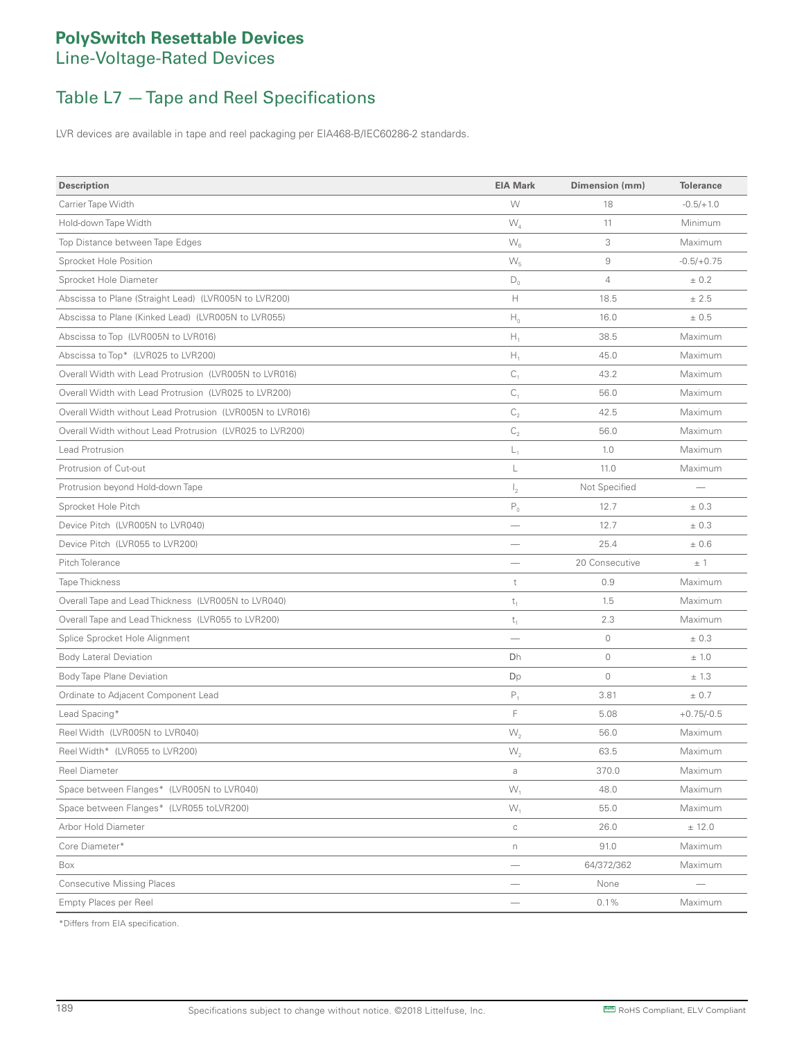## Table L7 — Tape and Reel Specifications

LVR devices are available in tape and reel packaging per EIA468-B/IEC60286-2 standards.

| <b>Description</b>                                        | <b>EIA Mark</b>          | Dimension (mm)     | <b>Tolerance</b>                |
|-----------------------------------------------------------|--------------------------|--------------------|---------------------------------|
| Carrier Tape Width                                        | W                        | 18                 | $-0.5/+1.0$                     |
| Hold-down Tape Width                                      | $W_{4}$                  | 11                 | Minimum                         |
| Top Distance between Tape Edges                           | $\mathsf{W}_6$           | 3                  | Maximum                         |
| Sprocket Hole Position                                    | $W_{5}$                  | $\hbox{ }^{\rm 9}$ | $-0.5/+0.75$                    |
| Sprocket Hole Diameter                                    | $D_0$                    | $\overline{4}$     | ± 0.2                           |
| Abscissa to Plane (Straight Lead) (LVR005N to LVR200)     | Н                        | 18.5               | ± 2.5                           |
| Abscissa to Plane (Kinked Lead) (LVR005N to LVR055)       | $H_0$                    | 16.0               | ± 0.5                           |
| Abscissa to Top (LVR005N to LVR016)                       | $H_1$                    | 38.5               | Maximum                         |
| Abscissa to Top* (LVR025 to LVR200)                       | $H_1$                    | 45.0               | Maximum                         |
| Overall Width with Lead Protrusion (LVR005N to LVR016)    | $C_1$                    | 43.2               | Maximum                         |
| Overall Width with Lead Protrusion (LVR025 to LVR200)     | $C_1$                    | 56.0               | Maximum                         |
| Overall Width without Lead Protrusion (LVR005N to LVR016) | $\mathsf{C}_2$           | 42.5               | Maximum                         |
| Overall Width without Lead Protrusion (LVR025 to LVR200)  | C <sub>2</sub>           | 56.0               | Maximum                         |
| Lead Protrusion                                           | L,                       | 1.0                | Maximum                         |
| Protrusion of Cut-out                                     | L                        | 11.0               | Maximum                         |
| Protrusion beyond Hold-down Tape                          | $\mathsf{I}_2$           | Not Specified      |                                 |
| Sprocket Hole Pitch                                       | $\mathsf{P}_0$           | 12.7               | ± 0.3                           |
| Device Pitch (LVR005N to LVR040)                          | -                        | 12.7               | ± 0.3                           |
| Device Pitch (LVR055 to LVR200)                           |                          | 25.4               | ±0.6                            |
| Pitch Tolerance                                           | -                        | 20 Consecutive     | ±1                              |
| <b>Tape Thickness</b>                                     | $^\mathrm{t}$            | 0.9                | Maximum                         |
| Overall Tape and Lead Thickness (LVR005N to LVR040)       | $t_1$                    | 1.5                | Maximum                         |
| Overall Tape and Lead Thickness (LVR055 to LVR200)        | $t_{1}$                  | 2.3                | Maximum                         |
| Splice Sprocket Hole Alignment                            |                          | $\circledcirc$     | ± 0.3                           |
| <b>Body Lateral Deviation</b>                             | Dh                       | $\circledcirc$     | ± 1.0                           |
| <b>Body Tape Plane Deviation</b>                          | Dp                       | $\mathbf{0}$       | ± 1.3                           |
| Ordinate to Adjacent Component Lead                       | ${\sf P}_1$              | 3.81               | ± 0.7                           |
| Lead Spacing*                                             | F                        | 5.08               | $+0.75/-0.5$                    |
| Reel Width (LVR005N to LVR040)                            | $W_{2}$                  | 56.0               | Maximum                         |
| Reel Width* (LVR055 to LVR200)                            | $W_{2}$                  | 63.5               | Maximum                         |
| Reel Diameter                                             | a                        | 370.0              | Maximum                         |
| Space between Flanges* (LVR005N to LVR040)                | $W_1$                    | 48.0               | Maximum                         |
| Space between Flanges* (LVR055 toLVR200)                  | $W_1$                    | 55.0               | Maximum                         |
| Arbor Hold Diameter                                       | $\mathbb C$              | 26.0               | ± 12.0                          |
| Core Diameter*                                            | $\Gamma$                 | 91.0               | Maximum                         |
| Box                                                       | $\overline{\phantom{0}}$ | 64/372/362         | Maximum                         |
| <b>Consecutive Missing Places</b>                         | $\overline{\phantom{0}}$ | None               | $\overbrace{\qquad \qquad }^{}$ |
| Empty Places per Reel                                     |                          | 0.1%               | Maximum                         |

\*Differs from EIA specification.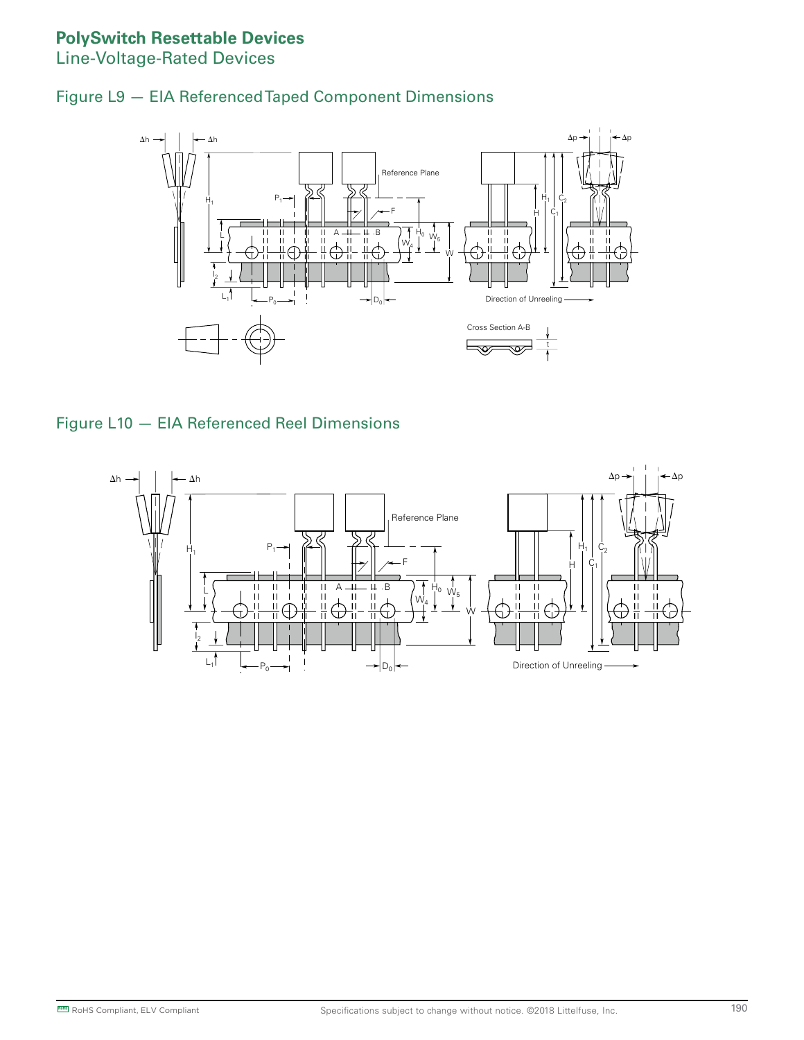#### **PolySwitch Resettable Devices**

Line-Voltage-Rated Devices





#### Figure L10 — EIA Referenced Reel Dimensions

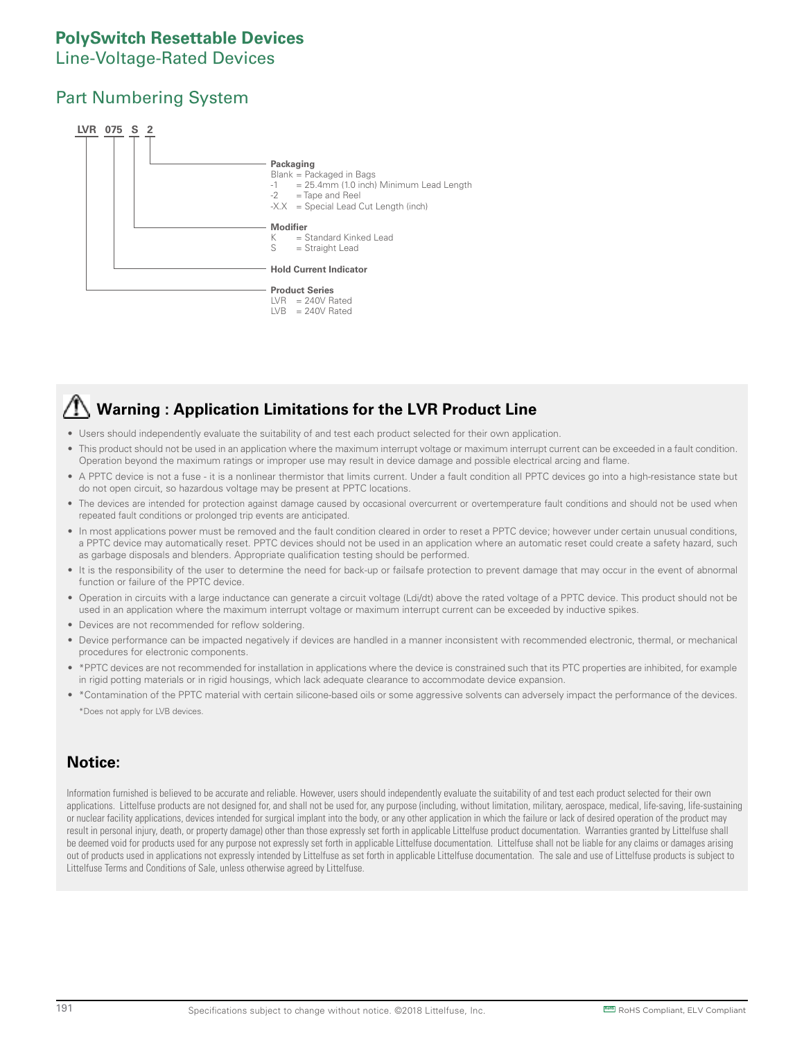### **PolySwitch Resettable Devices**

#### Line-Voltage-Rated Devices

#### Part Numbering System



# **Warning : Application Limitations for the LVR Product Line**

- Users should independently evaluate the suitability of and test each product selected for their own application.
- This product should not be used in an application where the maximum interrupt voltage or maximum interrupt current can be exceeded in a fault condition. Operation beyond the maximum ratings or improper use may result in device damage and possible electrical arcing and flame.
- A PPTC device is not a fuse it is a nonlinear thermistor that limits current. Under a fault condition all PPTC devices go into a high-resistance state but do not open circuit, so hazardous voltage may be present at PPTC locations.
- The devices are intended for protection against damage caused by occasional overcurrent or overtemperature fault conditions and should not be used when repeated fault conditions or prolonged trip events are anticipated.
- In most applications power must be removed and the fault condition cleared in order to reset a PPTC device; however under certain unusual conditions, a PPTC device may automatically reset. PPTC devices should not be used in an application where an automatic reset could create a safety hazard, such as garbage disposals and blenders. Appropriate qualification testing should be performed.
- It is the responsibility of the user to determine the need for back-up or failsafe protection to prevent damage that may occur in the event of abnormal function or failure of the PPTC device.
- Operation in circuits with a large inductance can generate a circuit voltage (Ldi/dt) above the rated voltage of a PPTC device. This product should not be used in an application where the maximum interrupt voltage or maximum interrupt current can be exceeded by inductive spikes.
- Devices are not recommended for reflow soldering.
- Device performance can be impacted negatively if devices are handled in a manner inconsistent with recommended electronic, thermal, or mechanical procedures for electronic components.
- \*PPTC devices are not recommended for installation in applications where the device is constrained such that its PTC properties are inhibited, for example in rigid potting materials or in rigid housings, which lack adequate clearance to accommodate device expansion.
- \*Contamination of the PPTC material with certain silicone-based oils or some aggressive solvents can adversely impact the performance of the devices. \*Does not apply for LVB devices.

#### **Notice:**

Information furnished is believed to be accurate and reliable. However, users should independently evaluate the suitability of and test each product selected for their own applications. Littelfuse products are not designed for, and shall not be used for, any purpose (including, without limitation, military, aerospace, medical, life-saving, life-sustaining or nuclear facility applications, devices intended for surgical implant into the body, or any other application in which the failure or lack of desired operation of the product may result in personal injury, death, or property damage) other than those expressly set forth in applicable Littelfuse product documentation. Warranties granted by Littelfuse shall be deemed void for products used for any purpose not expressly set forth in applicable Littelfuse documentation. Littelfuse shall not be liable for any claims or damages arising out of products used in applications not expressly intended by Littelfuse as set forth in applicable Littelfuse documentation. The sale and use of Littelfuse products is subject to Littelfuse Terms and Conditions of Sale, unless otherwise agreed by Littelfuse.